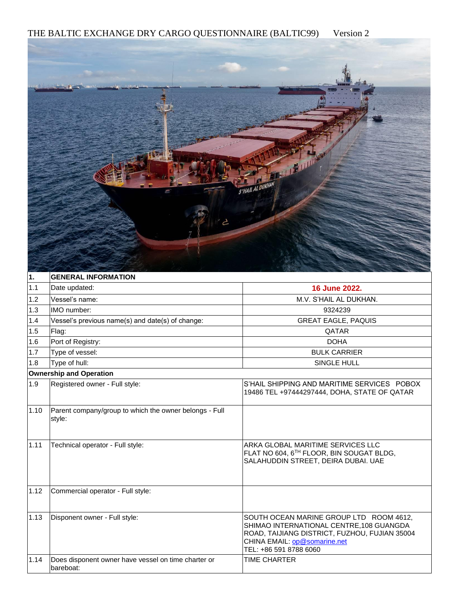THE BALTIC EXCHANGE DRY CARGO QUESTIONNAIRE (BALTIC99) Version 2



| 11.  | <b>GENERAL INFORMATION</b>                                       |                                                                                                                                                                                                |  |
|------|------------------------------------------------------------------|------------------------------------------------------------------------------------------------------------------------------------------------------------------------------------------------|--|
| 1.1  | Date updated:                                                    | 16 June 2022.                                                                                                                                                                                  |  |
| 1.2  | Vessel's name:                                                   | M.V. S'HAIL AL DUKHAN.                                                                                                                                                                         |  |
| 1.3  | IMO number:                                                      | 9324239                                                                                                                                                                                        |  |
| 1.4  | Vessel's previous name(s) and date(s) of change:                 | <b>GREAT EAGLE, PAQUIS</b>                                                                                                                                                                     |  |
| 1.5  | Flag:                                                            | <b>QATAR</b>                                                                                                                                                                                   |  |
| 1.6  | Port of Registry:                                                | <b>DOHA</b>                                                                                                                                                                                    |  |
| 1.7  | Type of vessel:                                                  | <b>BULK CARRIER</b>                                                                                                                                                                            |  |
| 1.8  | Type of hull:                                                    | SINGLE HULL                                                                                                                                                                                    |  |
|      | <b>Ownership and Operation</b>                                   |                                                                                                                                                                                                |  |
| 1.9  | Registered owner - Full style:                                   | S'HAIL SHIPPING AND MARITIME SERVICES POBOX<br>19486 TEL +97444297444, DOHA, STATE OF QATAR                                                                                                    |  |
| 1.10 | Parent company/group to which the owner belongs - Full<br>style: |                                                                                                                                                                                                |  |
| 1.11 | Technical operator - Full style:                                 | ARKA GLOBAL MARITIME SERVICES LLC<br>FLAT NO 604, 6TH FLOOR, BIN SOUGAT BLDG,<br>SALAHUDDIN STREET, DEIRA DUBAI. UAE                                                                           |  |
| 1.12 | Commercial operator - Full style:                                |                                                                                                                                                                                                |  |
| 1.13 | Disponent owner - Full style:                                    | SOUTH OCEAN MARINE GROUP LTD ROOM 4612.<br>SHIMAO INTERNATIONAL CENTRE, 108 GUANGDA<br>ROAD, TAIJIANG DISTRICT, FUZHOU, FUJIAN 35004<br>CHINA EMAIL: op@somarine.net<br>TEL: +86 591 8788 6060 |  |
| 1.14 | Does disponent owner have vessel on time charter or<br>bareboat: | <b>TIME CHARTER</b>                                                                                                                                                                            |  |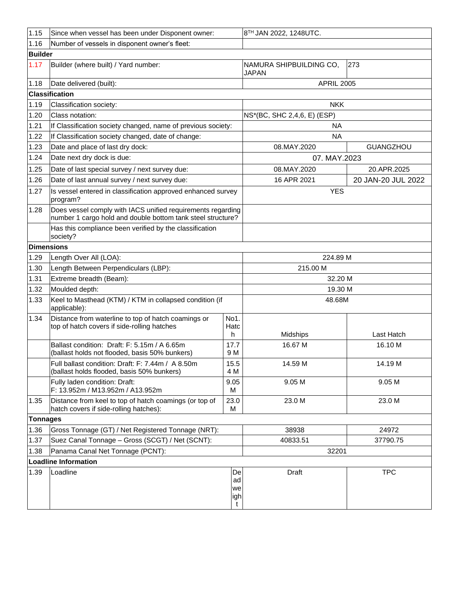| 1.15            | Since when vessel has been under Disponent owner:                                                                          |                            | 8TH JAN 2022, 1248UTC.                  |                    |  |
|-----------------|----------------------------------------------------------------------------------------------------------------------------|----------------------------|-----------------------------------------|--------------------|--|
| 1.16            | Number of vessels in disponent owner's fleet:                                                                              |                            |                                         |                    |  |
| <b>Builder</b>  |                                                                                                                            |                            |                                         |                    |  |
| 1.17            | Builder (where built) / Yard number:                                                                                       |                            | NAMURA SHIPBUILDING CO,<br><b>JAPAN</b> | 273                |  |
| 1.18            | Date delivered (built):                                                                                                    |                            | <b>APRIL 2005</b>                       |                    |  |
|                 | <b>Classification</b>                                                                                                      |                            |                                         |                    |  |
| 1.19            | Classification society:                                                                                                    |                            | <b>NKK</b>                              |                    |  |
| 1.20            | Class notation:                                                                                                            |                            | NS*(BC, SHC 2,4,6, E) (ESP)             |                    |  |
| 1.21            | If Classification society changed, name of previous society:                                                               |                            | ΝA                                      |                    |  |
| 1.22            | If Classification society changed, date of change:                                                                         |                            | <b>NA</b>                               |                    |  |
| 1.23            | Date and place of last dry dock:                                                                                           |                            | 08.MAY.2020                             | <b>GUANGZHOU</b>   |  |
| 1.24            | Date next dry dock is due:                                                                                                 |                            | 07. MAY.2023                            |                    |  |
| 1.25            | Date of last special survey / next survey due:                                                                             |                            | 08.MAY.2020                             | 20.APR.2025        |  |
| 1.26            | Date of last annual survey / next survey due:                                                                              |                            | 16 APR 2021                             | 20 JAN-20 JUL 2022 |  |
| 1.27            | Is vessel entered in classification approved enhanced survey<br>program?                                                   |                            | <b>YES</b>                              |                    |  |
| 1.28            | Does vessel comply with IACS unified requirements regarding<br>number 1 cargo hold and double bottom tank steel structure? |                            |                                         |                    |  |
|                 | Has this compliance been verified by the classification<br>society?                                                        |                            |                                         |                    |  |
|                 | <b>Dimensions</b>                                                                                                          |                            |                                         |                    |  |
| 1.29            | Length Over All (LOA):                                                                                                     |                            | 224.89 M                                |                    |  |
| 1.30            | Length Between Perpendiculars (LBP):                                                                                       |                            | 215.00 M                                |                    |  |
| 1.31            | Extreme breadth (Beam):                                                                                                    |                            | 32.20 M                                 |                    |  |
| 1.32            | Moulded depth:                                                                                                             |                            | 19.30 M                                 |                    |  |
| 1.33            | Keel to Masthead (KTM) / KTM in collapsed condition (if<br>applicable):                                                    |                            | 48.68M                                  |                    |  |
| 1.34            | Distance from waterline to top of hatch coamings or                                                                        | No1.                       |                                         |                    |  |
|                 | top of hatch covers if side-rolling hatches                                                                                | Hatc<br>h                  | Midships                                | Last Hatch         |  |
|                 | Ballast condition: Draft: F: 5.15m / A 6.65m                                                                               | 17.7                       | 16.67 M                                 | 16.10 M            |  |
|                 | (ballast holds not flooded, basis 50% bunkers)                                                                             | 9 M                        |                                         |                    |  |
|                 | Full ballast condition: Draft: F: 7.44m / A 8.50m<br>(ballast holds flooded, basis 50% bunkers)                            | 15.5<br>4 M                | 14.59 M                                 | 14.19 M            |  |
|                 | Fully laden condition: Draft:<br>F: 13.952m / M13.952m / A13.952m                                                          | 9.05<br>м                  | 9.05 M                                  | 9.05 M             |  |
| 1.35            | Distance from keel to top of hatch coamings (or top of<br>hatch covers if side-rolling hatches):                           | 23.0<br>м                  | 23.0 M                                  | 23.0 M             |  |
| <b>Tonnages</b> |                                                                                                                            |                            |                                         |                    |  |
| 1.36            | Gross Tonnage (GT) / Net Registered Tonnage (NRT):                                                                         |                            | 38938                                   | 24972              |  |
| 1.37            | Suez Canal Tonnage - Gross (SCGT) / Net (SCNT):                                                                            |                            | 40833.51                                | 37790.75           |  |
| 1.38            | Panama Canal Net Tonnage (PCNT):                                                                                           |                            | 32201                                   |                    |  |
|                 | <b>Loadline Information</b>                                                                                                |                            |                                         |                    |  |
| 1.39            | Loadline                                                                                                                   | De<br>ad<br>we<br>igh<br>t | Draft                                   | <b>TPC</b>         |  |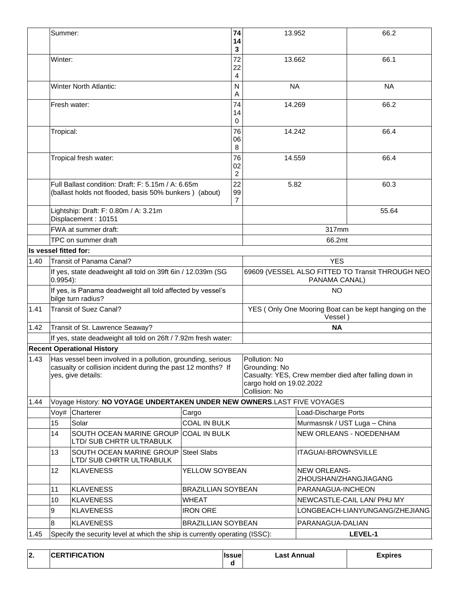|      | Summer:                                                                   |                                                                                                                                                   |                                                                                          | 74<br>14<br>3                                                     | 13.952                                                                      |                                              | 66.2                                                  |
|------|---------------------------------------------------------------------------|---------------------------------------------------------------------------------------------------------------------------------------------------|------------------------------------------------------------------------------------------|-------------------------------------------------------------------|-----------------------------------------------------------------------------|----------------------------------------------|-------------------------------------------------------|
|      | Winter:                                                                   |                                                                                                                                                   |                                                                                          | 72<br>22<br>4                                                     | 13.662                                                                      |                                              | 66.1                                                  |
|      |                                                                           | <b>Winter North Atlantic:</b>                                                                                                                     |                                                                                          | $\mathsf{N}$<br>A                                                 | <b>NA</b>                                                                   |                                              | <b>NA</b>                                             |
|      |                                                                           | Fresh water:                                                                                                                                      |                                                                                          | 74<br>14<br>0                                                     | 14.269                                                                      |                                              | 66.2                                                  |
|      | Tropical:                                                                 |                                                                                                                                                   |                                                                                          | 76<br>06<br>8                                                     | 14.242                                                                      |                                              | 66.4                                                  |
|      |                                                                           | Tropical fresh water:                                                                                                                             |                                                                                          | 76<br>02<br>2                                                     | 14.559                                                                      |                                              | 66.4                                                  |
|      |                                                                           | Full Ballast condition: Draft: F: 5.15m / A: 6.65m<br>(ballast holds not flooded, basis 50% bunkers) (about)                                      |                                                                                          | 22<br>99<br>$\overline{7}$                                        | 5.82                                                                        |                                              | 60.3                                                  |
|      |                                                                           | Lightship: Draft: F: 0.80m / A: 3.21m<br>Displacement: 10151                                                                                      |                                                                                          |                                                                   |                                                                             |                                              | 55.64                                                 |
|      |                                                                           | FWA at summer draft:                                                                                                                              |                                                                                          |                                                                   |                                                                             | 317mm                                        |                                                       |
|      |                                                                           | TPC on summer draft                                                                                                                               |                                                                                          |                                                                   |                                                                             | 66.2mt                                       |                                                       |
|      | Is vessel fitted for:                                                     |                                                                                                                                                   |                                                                                          |                                                                   |                                                                             |                                              |                                                       |
| 1.40 |                                                                           | Transit of Panama Canal?                                                                                                                          |                                                                                          |                                                                   | <b>YES</b>                                                                  |                                              |                                                       |
|      | If yes, state deadweight all told on 39ft 6in / 12.039m (SG<br>$0.9954$ : |                                                                                                                                                   |                                                                                          | 69609 (VESSEL ALSO FITTED TO Transit THROUGH NEO<br>PANAMA CANAL) |                                                                             |                                              |                                                       |
|      |                                                                           | If yes, is Panama deadweight all told affected by vessel's<br>bilge turn radius?                                                                  |                                                                                          |                                                                   | <b>NO</b>                                                                   |                                              |                                                       |
| 1.41 |                                                                           | <b>Transit of Suez Canal?</b>                                                                                                                     |                                                                                          |                                                                   | YES (Only One Mooring Boat can be kept hanging on the<br>Vessel)            |                                              |                                                       |
| 1.42 | Transit of St. Lawrence Seaway?                                           |                                                                                                                                                   |                                                                                          |                                                                   |                                                                             | <b>NA</b>                                    |                                                       |
|      | If yes, state deadweight all told on 26ft / 7.92m fresh water:            |                                                                                                                                                   |                                                                                          |                                                                   |                                                                             |                                              |                                                       |
|      |                                                                           | <b>Recent Operational History</b>                                                                                                                 |                                                                                          |                                                                   |                                                                             |                                              |                                                       |
| 1.43 |                                                                           | Has vessel been involved in a pollution, grounding, serious<br>casualty or collision incident during the past 12 months? If<br>yes, give details: |                                                                                          |                                                                   | Pollution: No<br>Grounding: No<br>cargo hold on 19.02.2022<br>Collision: No |                                              | Casualty: YES, Crew member died after falling down in |
| 1.44 |                                                                           | Voyage History: NO VOYAGE UNDERTAKEN UNDER NEW OWNERS.LAST FIVE VOYAGES                                                                           |                                                                                          |                                                                   |                                                                             |                                              |                                                       |
|      | Voy#                                                                      | Charterer                                                                                                                                         | Cargo                                                                                    |                                                                   |                                                                             | Load-Discharge Ports                         |                                                       |
|      | 15                                                                        | Solar                                                                                                                                             | <b>COAL IN BULK</b>                                                                      |                                                                   |                                                                             | Murmasnsk / UST Luga - China                 |                                                       |
|      | 14                                                                        | SOUTH OCEAN MARINE GROUP<br>LTD/ SUB CHRTR ULTRABULK                                                                                              | <b>COAL IN BULK</b><br><b>Steel Slabs</b><br>YELLOW SOYBEAN<br><b>BRAZILLIAN SOYBEAN</b> |                                                                   |                                                                             |                                              | NEW ORLEANS - NOEDENHAM                               |
|      | 13                                                                        | SOUTH OCEAN MARINE GROUP<br>LTD/ SUB CHRTR ULTRABULK                                                                                              |                                                                                          |                                                                   |                                                                             | <b>ITAGUAI-BROWNSVILLE</b>                   |                                                       |
|      | 12                                                                        | <b>KLAVENESS</b>                                                                                                                                  |                                                                                          |                                                                   |                                                                             | <b>NEW ORLEANS-</b><br>ZHOUSHAN/ZHANGJIAGANG |                                                       |
|      | 11                                                                        | <b>KLAVENESS</b>                                                                                                                                  |                                                                                          |                                                                   |                                                                             | PARANAGUA-INCHEON                            |                                                       |
|      | 10                                                                        | <b>KLAVENESS</b>                                                                                                                                  | <b>WHEAT</b>                                                                             |                                                                   |                                                                             |                                              | NEWCASTLE-CAIL LAN/ PHU MY                            |
|      | 9                                                                         | <b>KLAVENESS</b>                                                                                                                                  | <b>IRON ORE</b>                                                                          |                                                                   |                                                                             |                                              | LONGBEACH-LIANYUNGANG/ZHEJIANG                        |
|      | 8                                                                         | <b>KLAVENESS</b>                                                                                                                                  | <b>BRAZILLIAN SOYBEAN</b>                                                                |                                                                   |                                                                             | PARANAGUA-DALIAN                             |                                                       |
| 1.45 |                                                                           | Specify the security level at which the ship is currently operating (ISSC):                                                                       |                                                                                          |                                                                   |                                                                             |                                              | LEVEL-1                                               |

| $\sqrt{2}$<br>ız. | <b>CERTIFICATION</b> | <b>Ilssue</b> | Last Annual | Expires |
|-------------------|----------------------|---------------|-------------|---------|
|                   |                      |               |             |         |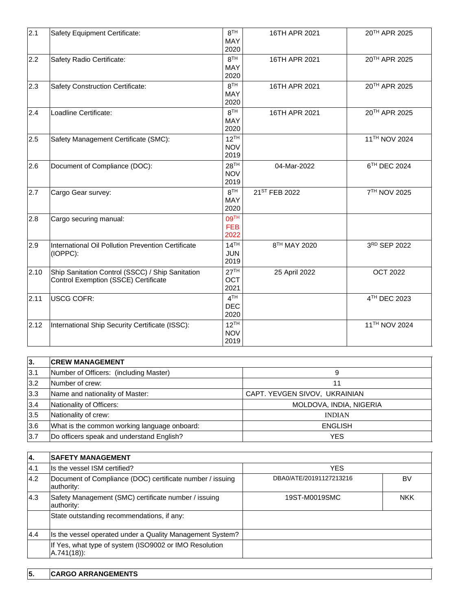| 2.1  | Safety Equipment Certificate:                                                            | 8 <sup>TH</sup><br><b>MAY</b><br>2020  | 16TH APR 2021 | 20TH APR 2025   |
|------|------------------------------------------------------------------------------------------|----------------------------------------|---------------|-----------------|
| 2.2  | Safety Radio Certificate:                                                                | 8 <sup>TH</sup><br>MAY<br>2020         | 16TH APR 2021 | 20TH APR 2025   |
| 2.3  | Safety Construction Certificate:                                                         | 8 <sup>TH</sup><br><b>MAY</b><br>2020  | 16TH APR 2021 | 20TH APR 2025   |
| 2.4  | Loadline Certificate:                                                                    | 8 <sup>TH</sup><br>MAY<br>2020         | 16TH APR 2021 | 20TH APR 2025   |
| 2.5  | Safety Management Certificate (SMC):                                                     | $12^{TH}$<br><b>NOV</b><br>2019        |               | 11TH NOV 2024   |
| 2.6  | Document of Compliance (DOC):                                                            | 28 <sup>TH</sup><br><b>NOV</b><br>2019 | 04-Mar-2022   | 6TH DEC 2024    |
| 2.7  | Cargo Gear survey:                                                                       | 8 <sup>TH</sup><br><b>MAY</b><br>2020  | 21ST FEB 2022 | 7TH NOV 2025    |
| 2.8  | Cargo securing manual:                                                                   | 09 <sup>TH</sup><br><b>FEB</b><br>2022 |               |                 |
| 2.9  | International Oil Pollution Prevention Certificate<br>(IOPPC):                           | 14 <sup>TH</sup><br><b>JUN</b><br>2019 | 8TH MAY 2020  | 3RD SEP 2022    |
| 2.10 | Ship Sanitation Control (SSCC) / Ship Sanitation<br>Control Exemption (SSCE) Certificate | 27 <sup>TH</sup><br><b>OCT</b><br>2021 | 25 April 2022 | <b>OCT 2022</b> |
| 2.11 | <b>USCG COFR:</b>                                                                        | 4 <sup>TH</sup><br><b>DEC</b><br>2020  |               | 4TH DEC 2023    |
| 2.12 | International Ship Security Certificate (ISSC):                                          | $12^{TH}$<br><b>NOV</b><br>2019        |               | 11TH NOV 2024   |

| 3.  | <b>CREW MANAGEMENT</b>                       |                               |
|-----|----------------------------------------------|-------------------------------|
| 3.1 | Number of Officers: (including Master)       | 9                             |
| 3.2 | Number of crew:                              | 11                            |
| 3.3 | Name and nationality of Master:              | CAPT. YEVGEN SIVOV, UKRAINIAN |
| 3.4 | Nationality of Officers:                     | MOLDOVA, INDIA, NIGERIA       |
| 3.5 | Nationality of crew:                         | <b>INDIAN</b>                 |
| 3.6 | What is the common working language onboard: | <b>ENGLISH</b>                |
| 3.7 | Do officers speak and understand English?    | <b>YES</b>                    |

| 4.  | <b>SAFETY MANAGEMENT</b>                                                |                         |            |
|-----|-------------------------------------------------------------------------|-------------------------|------------|
| 4.1 | Is the vessel ISM certified?                                            | <b>YES</b>              |            |
| 4.2 | Document of Compliance (DOC) certificate number / issuing<br>authority: | DBA0/ATE/20191127213216 | BV         |
| 4.3 | Safety Management (SMC) certificate number / issuing<br>authority:      | 19ST-M0019SMC           | <b>NKK</b> |
|     | State outstanding recommendations, if any:                              |                         |            |
| 4.4 | Is the vessel operated under a Quality Management System?               |                         |            |
|     | If Yes, what type of system (ISO9002 or IMO Resolution<br>$A.741(18)$ : |                         |            |

|  |  | <b>CARGO ARRANGEMENTS</b> |
|--|--|---------------------------|
|--|--|---------------------------|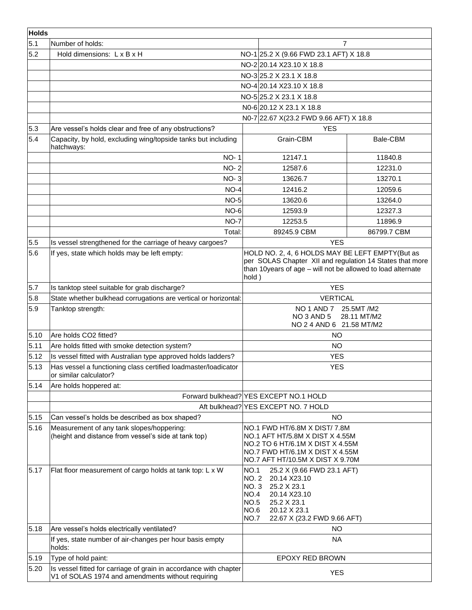| <b>Holds</b> |                                                                                                                        |                                                                                                                                                                                     |                                                                                                                                                                            |             |
|--------------|------------------------------------------------------------------------------------------------------------------------|-------------------------------------------------------------------------------------------------------------------------------------------------------------------------------------|----------------------------------------------------------------------------------------------------------------------------------------------------------------------------|-------------|
| 5.1          | Number of holds:                                                                                                       |                                                                                                                                                                                     | $\overline{7}$                                                                                                                                                             |             |
| 5.2          | Hold dimensions: L x B x H                                                                                             |                                                                                                                                                                                     | NO-1 25.2 X (9.66 FWD 23.1 AFT) X 18.8                                                                                                                                     |             |
|              |                                                                                                                        |                                                                                                                                                                                     | NO-220.14 X23.10 X 18.8                                                                                                                                                    |             |
|              |                                                                                                                        |                                                                                                                                                                                     | NO-3 25.2 X 23.1 X 18.8                                                                                                                                                    |             |
|              |                                                                                                                        |                                                                                                                                                                                     | NO-4 20.14 X23.10 X 18.8                                                                                                                                                   |             |
|              |                                                                                                                        |                                                                                                                                                                                     | NO-5 25.2 X 23.1 X 18.8                                                                                                                                                    |             |
|              |                                                                                                                        |                                                                                                                                                                                     | NO-6 20.12 X 23.1 X 18.8                                                                                                                                                   |             |
|              |                                                                                                                        |                                                                                                                                                                                     | N0-7 22.67 X(23.2 FWD 9.66 AFT) X 18.8                                                                                                                                     |             |
| 5.3          | Are vessel's holds clear and free of any obstructions?                                                                 |                                                                                                                                                                                     | <b>YES</b>                                                                                                                                                                 |             |
| 5.4          | Capacity, by hold, excluding wing/topside tanks but including<br>hatchways:                                            |                                                                                                                                                                                     | Grain-CBM                                                                                                                                                                  | Bale-CBM    |
|              | <b>NO-1</b>                                                                                                            |                                                                                                                                                                                     | 12147.1                                                                                                                                                                    | 11840.8     |
|              | <b>NO-2</b>                                                                                                            |                                                                                                                                                                                     | 12587.6                                                                                                                                                                    | 12231.0     |
|              | $NO-3$                                                                                                                 |                                                                                                                                                                                     | 13626.7                                                                                                                                                                    | 13270.1     |
|              | $NO-4$                                                                                                                 |                                                                                                                                                                                     | 12416.2                                                                                                                                                                    | 12059.6     |
|              | $NO-5$                                                                                                                 |                                                                                                                                                                                     | 13620.6                                                                                                                                                                    | 13264.0     |
|              | $NO-6$                                                                                                                 |                                                                                                                                                                                     | 12593.9                                                                                                                                                                    | 12327.3     |
|              | $NO-7$                                                                                                                 |                                                                                                                                                                                     | 12253.5                                                                                                                                                                    | 11896.9     |
|              | Total:                                                                                                                 |                                                                                                                                                                                     | 89245.9 CBM                                                                                                                                                                | 86799.7 CBM |
| 5.5          | Is vessel strengthened for the carriage of heavy cargoes?                                                              |                                                                                                                                                                                     | <b>YES</b>                                                                                                                                                                 |             |
| 5.6          | If yes, state which holds may be left empty:                                                                           | HOLD NO. 2, 4, 6 HOLDS MAY BE LEFT EMPTY(But as<br>per SOLAS Chapter XII and regulation 14 States that more<br>than 10years of age - will not be allowed to load alternate<br>hold) |                                                                                                                                                                            |             |
| 5.7          | Is tanktop steel suitable for grab discharge?                                                                          |                                                                                                                                                                                     | <b>YES</b>                                                                                                                                                                 |             |
| 5.8          | State whether bulkhead corrugations are vertical or horizontal:                                                        | <b>VERTICAL</b>                                                                                                                                                                     |                                                                                                                                                                            |             |
| 5.9          | Tanktop strength:                                                                                                      | NO 1 AND 7<br>25.5MT /M2<br>NO 3 AND 5<br>28.11 MT/M2<br>NO 2 4 AND 6 21.58 MT/M2                                                                                                   |                                                                                                                                                                            |             |
| 5.10         | Are holds CO2 fitted?                                                                                                  |                                                                                                                                                                                     | <b>NO</b>                                                                                                                                                                  |             |
| 5.11         | Are holds fitted with smoke detection system?                                                                          |                                                                                                                                                                                     | <b>NO</b>                                                                                                                                                                  |             |
| 5.12         | Is vessel fitted with Australian type approved holds ladders?                                                          |                                                                                                                                                                                     | <b>YES</b>                                                                                                                                                                 |             |
| 5.13         | Has vessel a functioning class certified loadmaster/loadicator<br>or similar calculator?                               |                                                                                                                                                                                     | <b>YES</b>                                                                                                                                                                 |             |
| 5.14         | Are holds hoppered at:                                                                                                 |                                                                                                                                                                                     |                                                                                                                                                                            |             |
|              |                                                                                                                        |                                                                                                                                                                                     | Forward bulkhead? YES EXCEPT NO.1 HOLD                                                                                                                                     |             |
|              |                                                                                                                        |                                                                                                                                                                                     | Aft bulkhead? YES EXCEPT NO. 7 HOLD                                                                                                                                        |             |
| 5.15         | Can vessel's holds be described as box shaped?                                                                         |                                                                                                                                                                                     | <b>NO</b>                                                                                                                                                                  |             |
| 5.16         | Measurement of any tank slopes/hoppering:<br>(height and distance from vessel's side at tank top)                      |                                                                                                                                                                                     | NO.1 FWD HT/6.8M X DIST/7.8M<br>NO.1 AFT HT/5.8M X DIST X 4.55M<br>NO.2 TO 6 HT/6.1M X DIST X 4.55M<br>NO.7 FWD HT/6.1M X DIST X 4.55M<br>NO.7 AFT HT/10.5M X DIST X 9.70M |             |
| 5.17         | Flat floor measurement of cargo holds at tank top: L x W                                                               | <b>NO.1</b><br><b>NO. 2</b><br>NO. 3<br>NO.4<br><b>NO.5</b><br>NO.6<br><b>NO.7</b>                                                                                                  | 25.2 X (9.66 FWD 23.1 AFT)<br>20.14 X23.10<br>25.2 X 23.1<br>20.14 X23.10<br>25.2 X 23.1<br>20.12 X 23.1<br>22.67 X (23.2 FWD 9.66 AFT)                                    |             |
| 5.18         | Are vessel's holds electrically ventilated?                                                                            |                                                                                                                                                                                     | <b>NO</b>                                                                                                                                                                  |             |
|              | If yes, state number of air-changes per hour basis empty<br>holds:                                                     |                                                                                                                                                                                     | <b>NA</b>                                                                                                                                                                  |             |
| 5.19         | Type of hold paint:                                                                                                    |                                                                                                                                                                                     | EPOXY RED BROWN                                                                                                                                                            |             |
| 5.20         | Is vessel fitted for carriage of grain in accordance with chapter<br>V1 of SOLAS 1974 and amendments without requiring |                                                                                                                                                                                     | <b>YES</b>                                                                                                                                                                 |             |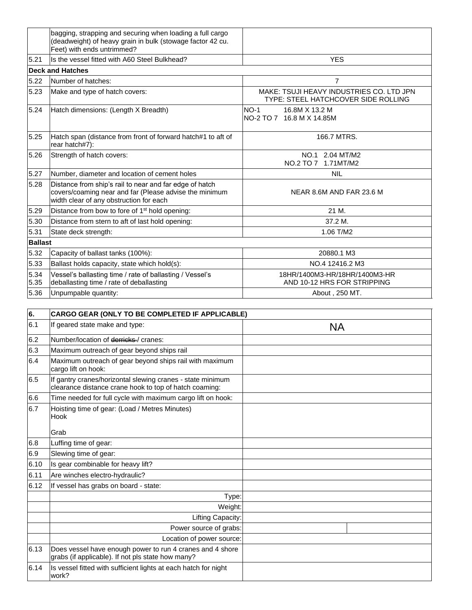|                | bagging, strapping and securing when loading a full cargo<br>(deadweight) of heavy grain in bulk (stowage factor 42 cu.<br>Feet) with ends untrimmed?        |                                                                                 |
|----------------|--------------------------------------------------------------------------------------------------------------------------------------------------------------|---------------------------------------------------------------------------------|
| 5.21           | Is the vessel fitted with A60 Steel Bulkhead?<br><b>YES</b>                                                                                                  |                                                                                 |
|                | Deck and Hatches                                                                                                                                             |                                                                                 |
| 5.22           | Number of hatches:                                                                                                                                           | $\overline{7}$                                                                  |
| 5.23           | Make and type of hatch covers:                                                                                                                               | MAKE: TSUJI HEAVY INDUSTRIES CO. LTD JPN<br>TYPE: STEEL HATCHCOVER SIDE ROLLING |
| 5.24           | Hatch dimensions: (Length X Breadth)                                                                                                                         | $NO-1$<br>16.8M X 13.2 M<br>NO-2 TO 7 16.8 M X 14.85M                           |
| 5.25           | Hatch span (distance from front of forward hatch#1 to aft of<br>rear hatch#7):                                                                               | 166.7 MTRS.                                                                     |
| 5.26           | Strength of hatch covers:                                                                                                                                    | NO.1 2.04 MT/M2<br>NO.2 TO 7 1.71MT/M2                                          |
| 5.27           | Number, diameter and location of cement holes                                                                                                                | <b>NIL</b>                                                                      |
| 5.28           | Distance from ship's rail to near and far edge of hatch<br>covers/coaming near and far (Please advise the minimum<br>width clear of any obstruction for each | NEAR 8.6M AND FAR 23.6 M                                                        |
| 5.29           | Distance from bow to fore of 1 <sup>st</sup> hold opening:                                                                                                   | 21 M.                                                                           |
| 5.30           | Distance from stern to aft of last hold opening:                                                                                                             | 37.2 M.                                                                         |
| 5.31           | State deck strength:                                                                                                                                         | 1.06 T/M2                                                                       |
| <b>Ballast</b> |                                                                                                                                                              |                                                                                 |
| 5.32           | Capacity of ballast tanks (100%):                                                                                                                            | 20880.1 M3                                                                      |
| 5.33           | Ballast holds capacity, state which hold(s):                                                                                                                 | NO.4 12416.2 M3                                                                 |
| 5.34<br>5.35   | Vessel's ballasting time / rate of ballasting / Vessel's<br>deballasting time / rate of deballasting                                                         | 18HR/1400M3-HR/18HR/1400M3-HR<br>AND 10-12 HRS FOR STRIPPING                    |
| 5.36           | Unpumpable quantity:                                                                                                                                         | About, 250 MT.                                                                  |

| 6.   | CARGO GEAR (ONLY TO BE COMPLETED IF APPLICABLE)                                                                      |           |  |  |  |  |
|------|----------------------------------------------------------------------------------------------------------------------|-----------|--|--|--|--|
| 6.1  | If geared state make and type:                                                                                       | <b>NA</b> |  |  |  |  |
| 6.2  | Number/location of derricks / cranes:                                                                                |           |  |  |  |  |
| 6.3  | Maximum outreach of gear beyond ships rail                                                                           |           |  |  |  |  |
| 6.4  | Maximum outreach of gear beyond ships rail with maximum<br>cargo lift on hook:                                       |           |  |  |  |  |
| 6.5  | If gantry cranes/horizontal slewing cranes - state minimum<br>clearance distance crane hook to top of hatch coaming: |           |  |  |  |  |
| 6.6  | Time needed for full cycle with maximum cargo lift on hook:                                                          |           |  |  |  |  |
| 6.7  | Hoisting time of gear: (Load / Metres Minutes)<br>Hook                                                               |           |  |  |  |  |
|      | Grab                                                                                                                 |           |  |  |  |  |
| 6.8  | Luffing time of gear:                                                                                                |           |  |  |  |  |
| 6.9  | Slewing time of gear:                                                                                                |           |  |  |  |  |
| 6.10 | Is gear combinable for heavy lift?                                                                                   |           |  |  |  |  |
| 6.11 | Are winches electro-hydraulic?                                                                                       |           |  |  |  |  |
| 6.12 | If vessel has grabs on board - state:                                                                                |           |  |  |  |  |
|      | Type:                                                                                                                |           |  |  |  |  |
|      | Weight:                                                                                                              |           |  |  |  |  |
|      | Lifting Capacity:                                                                                                    |           |  |  |  |  |
|      | Power source of grabs:                                                                                               |           |  |  |  |  |
|      | Location of power source:                                                                                            |           |  |  |  |  |
| 6.13 | Does vessel have enough power to run 4 cranes and 4 shore<br>grabs (if applicable). If not pls state how many?       |           |  |  |  |  |
| 6.14 | Is vessel fitted with sufficient lights at each hatch for night<br>work?                                             |           |  |  |  |  |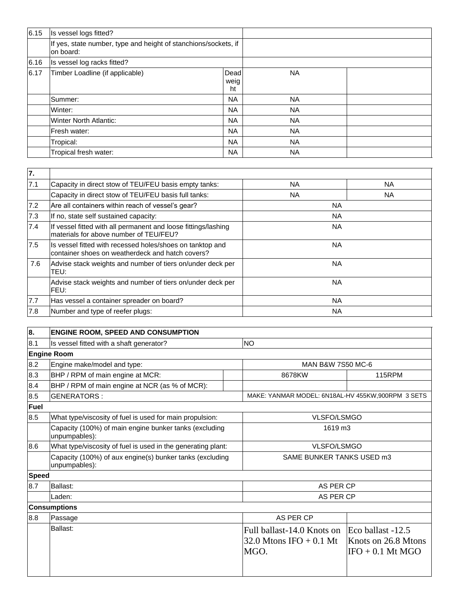| 6.15 | Is vessel logs fitted?                                                       |                    |           |  |
|------|------------------------------------------------------------------------------|--------------------|-----------|--|
|      | If yes, state number, type and height of stanchions/sockets, if<br>on board: |                    |           |  |
| 6.16 | Is vessel log racks fitted?                                                  |                    |           |  |
| 6.17 | Timber Loadline (if applicable)                                              | Dead<br>weig<br>ht | <b>NA</b> |  |
|      | Summer:                                                                      | <b>NA</b>          | <b>NA</b> |  |
|      | Winter:                                                                      | <b>NA</b>          | <b>NA</b> |  |
|      | Winter North Atlantic:                                                       | <b>NA</b>          | <b>NA</b> |  |
|      | Fresh water:                                                                 | <b>NA</b>          | <b>NA</b> |  |
|      | Tropical:                                                                    | <b>NA</b>          | <b>NA</b> |  |
|      | Tropical fresh water:                                                        | <b>NA</b>          | <b>NA</b> |  |

| 7.  |                                                                                                               |           |           |
|-----|---------------------------------------------------------------------------------------------------------------|-----------|-----------|
| 7.1 | Capacity in direct stow of TEU/FEU basis empty tanks:                                                         | NA.       | <b>NA</b> |
|     | Capacity in direct stow of TEU/FEU basis full tanks:                                                          | NA.       | NA.       |
| 7.2 | Are all containers within reach of vessel's gear?                                                             | <b>NA</b> |           |
| 7.3 | If no, state self sustained capacity:                                                                         | <b>NA</b> |           |
| 7.4 | If vessel fitted with all permanent and loose fittings/lashing<br>materials for above number of TEU/FEU?      | <b>NA</b> |           |
| 7.5 | Is vessel fitted with recessed holes/shoes on tanktop and<br>container shoes on weatherdeck and hatch covers? | ΝA        |           |
| 7.6 | Advise stack weights and number of tiers on/under deck per<br>TEU:                                            | NA.       |           |
|     | Advise stack weights and number of tiers on/under deck per<br>FEU:                                            | <b>NA</b> |           |
| 7.7 | Has vessel a container spreader on board?                                                                     | <b>NA</b> |           |
| 7.8 | Number and type of reefer plugs:                                                                              | <b>NA</b> |           |

| 8.           | <b>ENGINE ROOM, SPEED AND CONSUMPTION</b>                                 |                                                                                   |                                           |  |
|--------------|---------------------------------------------------------------------------|-----------------------------------------------------------------------------------|-------------------------------------------|--|
| 8.1          | Is vessel fitted with a shaft generator?                                  | <b>NO</b>                                                                         |                                           |  |
|              | <b>Engine Room</b>                                                        |                                                                                   |                                           |  |
| 8.2          | Engine make/model and type:                                               |                                                                                   | MAN B&W 7S50 MC-6                         |  |
| 8.3          | BHP / RPM of main engine at MCR:                                          | 8678KW                                                                            | <b>115RPM</b>                             |  |
| 8.4          | BHP / RPM of main engine at NCR (as % of MCR):                            |                                                                                   |                                           |  |
| 8.5          | <b>GENERATORS:</b>                                                        | MAKE: YANMAR MODEL: 6N18AL-HV 455KW,900RPM 3 SETS                                 |                                           |  |
| <b>Fuel</b>  |                                                                           |                                                                                   |                                           |  |
| 8.5          | What type/viscosity of fuel is used for main propulsion:                  | <b>VLSFO/LSMGO</b>                                                                |                                           |  |
|              | Capacity (100%) of main engine bunker tanks (excluding<br>unpumpables):   | 1619 m3                                                                           |                                           |  |
| 8.6          | What type/viscosity of fuel is used in the generating plant:              | <b>VLSFO/LSMGO</b>                                                                |                                           |  |
|              | Capacity (100%) of aux engine(s) bunker tanks (excluding<br>unpumpables): | SAME BUNKER TANKS USED m3                                                         |                                           |  |
| <b>Speed</b> |                                                                           |                                                                                   |                                           |  |
| 8.7          | Ballast:                                                                  | AS PER CP                                                                         |                                           |  |
|              | Laden:                                                                    | AS PER CP                                                                         |                                           |  |
|              | <b>Consumptions</b>                                                       |                                                                                   |                                           |  |
| 8.8          | Passage                                                                   | AS PER CP                                                                         |                                           |  |
|              | Ballast:                                                                  | Full ballast-14.0 Knots on Eco ballast -12.5<br>32.0 Mtons IFO $+$ 0.1 Mt<br>MGO. | Knots on 26.8 Mtons<br>$IFO + 0.1$ Mt MGO |  |